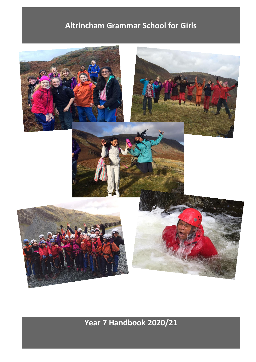## **Altrincham Grammar School for Girls**



**Year 7 Handbook 2020/21**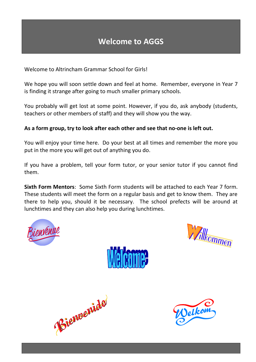Welcome to Altrincham Grammar School for Girls!

We hope you will soon settle down and feel at home. Remember, everyone in Year 7 is finding it strange after going to much smaller primary schools.

You probably will get lost at some point. However, if you do, ask anybody (students, teachers or other members of staff) and they will show you the way.

### **As a form group, try to look after each other and see that no-one is left out.**

You will enjoy your time here. Do your best at all times and remember the more you put in the more you will get out of anything you do.

If you have a problem, tell your form tutor, or your senior tutor if you cannot find them.

**Sixth Form Mentors**: Some Sixth Form students will be attached to each Year 7 form. These students will meet the form on a regular basis and get to know them. They are there to help you, should it be necessary. The school prefects will be around at lunchtimes and they can also help you during lunchtimes.









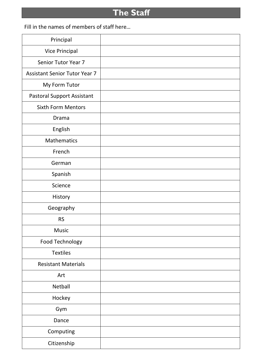# **The Staff**

Fill in the names of members of staff here…

| Principal                            |  |
|--------------------------------------|--|
| <b>Vice Principal</b>                |  |
| Senior Tutor Year 7                  |  |
| <b>Assistant Senior Tutor Year 7</b> |  |
| My Form Tutor                        |  |
| <b>Pastoral Support Assistant</b>    |  |
| <b>Sixth Form Mentors</b>            |  |
| Drama                                |  |
| English                              |  |
| <b>Mathematics</b>                   |  |
| French                               |  |
| German                               |  |
| Spanish                              |  |
| Science                              |  |
| History                              |  |
| Geography                            |  |
| <b>RS</b>                            |  |
| Music                                |  |
| Food Technology                      |  |
| <b>Textiles</b>                      |  |
| <b>Resistant Materials</b>           |  |
| Art                                  |  |
| Netball                              |  |
| Hockey                               |  |
| Gym                                  |  |
| Dance                                |  |
| Computing                            |  |
| Citizenship                          |  |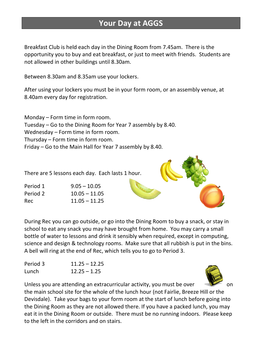### **Your Day at AGGS**

Breakfast Club is held each day in the Dining Room from 7.45am. There is the opportunity you to buy and eat breakfast, or just to meet with friends. Students are not allowed in other buildings until 8.30am.

Between 8.30am and 8.35am use your lockers.

After using your lockers you must be in your form room, or an assembly venue, at 8.40am every day for registration.

Monday – Form time in form room. Tuesday – Go to the Dining Room for Year 7 assembly by 8.40. Wednesday – Form time in form room. Thursday – Form time in form room. Friday – Go to the Main Hall for Year 7 assembly by 8.40.

There are 5 lessons each day. Each lasts 1 hour.

| Period 1 | $9.05 - 10.05$  |  |
|----------|-----------------|--|
| Period 2 | $10.05 - 11.05$ |  |
| Rec      | $11.05 - 11.25$ |  |

During Rec you can go outside, or go into the Dining Room to buy a snack, or stay in school to eat any snack you may have brought from home. You may carry a small bottle of water to lessons and drink it sensibly when required, except in computing, science and design & technology rooms. Make sure that all rubbish is put in the bins. A bell will ring at the end of Rec, which tells you to go to Period 3.

Period 3 11.25 – 12.25 Lunch 12.25 – 1.25



Unless you are attending an extracurricular activity, you must be over  $\mathbb{Z}$  on the main school site for the whole of the lunch hour (not Fairlie, Breeze Hill or the Devisdale). Take your bags to your form room at the start of lunch before going into the Dining Room as they are not allowed there. If you have a packed lunch, you may eat it in the Dining Room or outside. There must be no running indoors. Please keep to the left in the corridors and on stairs.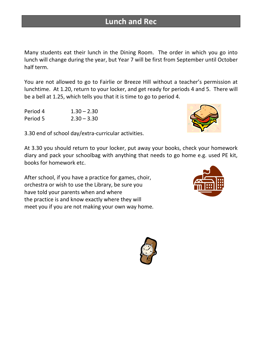### **Lunch and Rec**

Many students eat their lunch in the Dining Room. The order in which you go into lunch will change during the year, but Year 7 will be first from September until October half term.

You are not allowed to go to Fairlie or Breeze Hill without a teacher's permission at lunchtime. At 1.20, return to your locker, and get ready for periods 4 and 5. There will be a bell at 1.25, which tells you that it is time to go to period 4.

| Period 4 | $1.30 - 2.30$ |
|----------|---------------|
| Period 5 | $2.30 - 3.30$ |

3.30 end of school day/extra-curricular activities.

At 3.30 you should return to your locker, put away your books, check your homework diary and pack your schoolbag with anything that needs to go home e.g. used PE kit, books for homework etc.

After school, if you have a practice for games, choir, orchestra or wish to use the Library, be sure you have told your parents when and where the practice is and know exactly where they will meet you if you are not making your own way home.





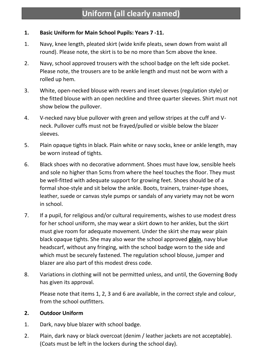### **1. Basic Uniform for Main School Pupils: Years 7 -11.**

- 1. Navy, knee length, pleated skirt (wide knife pleats, sewn down from waist all round). Please note, the skirt is to be no more than 5cm above the knee.
- 2. Navy, school approved trousers with the school badge on the left side pocket. Please note, the trousers are to be ankle length and must not be worn with a rolled up hem.
- 3. White, open-necked blouse with revers and inset sleeves (regulation style) or the fitted blouse with an open neckline and three quarter sleeves. Shirt must not show below the pullover.
- 4. V-necked navy blue pullover with green and yellow stripes at the cuff and Vneck. Pullover cuffs must not be frayed/pulled or visible below the blazer sleeves.
- 5. Plain opaque tights in black. Plain white or navy socks, knee or ankle length, may be worn instead of tights.
- 6. Black shoes with no decorative adornment. Shoes must have low, sensible heels and sole no higher than 5cms from where the heel touches the floor. They must be well-fitted with adequate support for growing feet. Shoes should be of a formal shoe-style and sit below the ankle. Boots, trainers, trainer-type shoes, leather, suede or canvas style pumps or sandals of any variety may not be worn in school.
- 7. If a pupil, for religious and/or cultural requirements, wishes to use modest dress for her school uniform, she may wear a skirt down to her ankles, but the skirt must give room for adequate movement. Under the skirt she may wear plain black opaque tights. She may also wear the school approved **plain**, navy blue headscarf, without any fringing, with the school badge worn to the side and which must be securely fastened. The regulation school blouse, jumper and blazer are also part of this modest dress code.
- 8. Variations in clothing will not be permitted unless, and until, the Governing Body has given its approval.

Please note that items 1, 2, 3 and 6 are available, in the correct style and colour, from the school outfitters.

### **2. Outdoor Uniform**

- 1. Dark, navy blue blazer with school badge.
- 2. Plain, dark navy or black overcoat (denim / leather jackets are not acceptable). (Coats must be left in the lockers during the school day).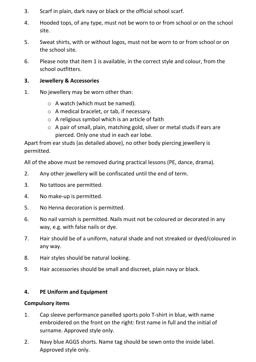- 3. Scarf in plain, dark navy or black or the official school scarf.
- 4. Hooded tops, of any type, must not be worn to or from school or on the school site.
- 5. Sweat shirts, with or without logos, must not be worn to or from school or on the school site.
- 6. Please note that item 1 is available, in the correct style and colour, from the school outfitters.

#### **3. Jewellery & Accessories**

- 1. No jewellery may be worn other than:
	- o A watch (which must be named).
	- o A medical bracelet, or tab, if necessary.
	- $\circ$  A religious symbol which is an article of faith
	- o A pair of small, plain, matching gold, silver or metal studs if ears are pierced. Only one stud in each ear lobe.

Apart from ear studs (as detailed above), no other body piercing jewellery is permitted.

All of the above must be removed during practical lessons (PE, dance, drama).

- 2. Any other jewellery will be confiscated until the end of term.
- 3. No tattoos are permitted.
- 4. No make-up is permitted.
- 5. No Henna decoration is permitted.
- 6. No nail varnish is permitted. Nails must not be coloured or decorated in any way, e.g. with false nails or dye.
- 7. Hair should be of a uniform, natural shade and not streaked or dyed/coloured in any way.
- 8. Hair styles should be natural looking.
- 9. Hair accessories should be small and discreet, plain navy or black.

#### **4. PE Uniform and Equipment**

#### **Compulsory items**

- 1. Cap sleeve performance panelled sports polo T-shirt in blue, with name embroidered on the front on the right: first name in full and the initial of surname. Approved style only.
- 2. Navy blue AGGS shorts. Name tag should be sewn onto the inside label. Approved style only.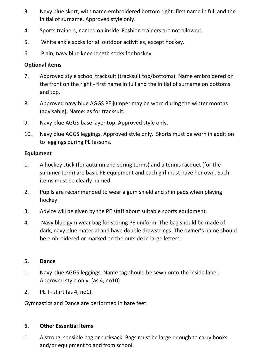- 3. Navy blue skort, with name embroidered bottom right: first name in full and the initial of surname. Approved style only.
- 4. Sports trainers, named on inside. Fashion trainers are not allowed.
- 5. White ankle socks for all outdoor activities, except hockey.
- 6. Plain, navy blue knee length socks for hockey.

### **Optional items**

- 7. Approved style school tracksuit (tracksuit top/bottoms). Name embroidered on the front on the right - first name in full and the initial of surname on bottoms and top.
- 8. Approved navy blue AGGS PE jumper may be worn during the winter months (advisable). Name: as for tracksuit.
- 9. Navy blue AGGS base layer top. Approved style only.
- 10. Navy blue AGGS leggings. Approved style only. Skorts must be worn in addition to leggings during PE lessons.

### **Equipment**

- 1. A hockey stick (for autumn and spring terms) and a tennis racquet (for the summer term) are basic PE equipment and each girl must have her own. Such items must be clearly named.
- 2. Pupils are recommended to wear a gum shield and shin pads when playing hockey.
- 3. Advice will be given by the PE staff about suitable sports equipment.
- 4. Navy blue gym wear bag for storing PE uniform. The bag should be made of dark, navy blue material and have double drawstrings. The owner's name should be embroidered or marked on the outside in large letters.

#### **5. Dance**

- 1. Navy blue AGGS leggings. Name tag should be sewn onto the inside label. Approved style only. (as 4, no10)
- 2. PE T- shirt (as 4, no1).

Gymnastics and Dance are performed in bare feet.

#### **6. Other Essential Items**

1. A strong, sensible bag or rucksack. Bags must be large enough to carry books and/or equipment to and from school.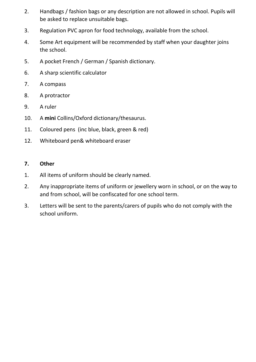- 2. Handbags / fashion bags or any description are not allowed in school. Pupils will be asked to replace unsuitable bags.
- 3. Regulation PVC apron for food technology, available from the school.
- 4. Some Art equipment will be recommended by staff when your daughter joins the school.
- 5. A pocket French / German / Spanish dictionary.
- 6. A sharp scientific calculator
- 7. A compass
- 8. A protractor
- 9. A ruler
- 10. A **mini** Collins/Oxford dictionary/thesaurus.
- 11. Coloured pens (inc blue, black, green & red)
- 12. Whiteboard pen& whiteboard eraser

#### **7. Other**

- 1. All items of uniform should be clearly named.
- 2. Any inappropriate items of uniform or jewellery worn in school, or on the way to and from school, will be confiscated for one school term.
- 3. Letters will be sent to the parents/carers of pupils who do not comply with the school uniform.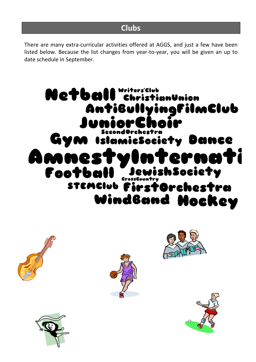There are many extra-curricular activities offered at AGGS, and just a few have been listed below. Because the list changes from year-to-year, you will be given an up to date schedule in September.









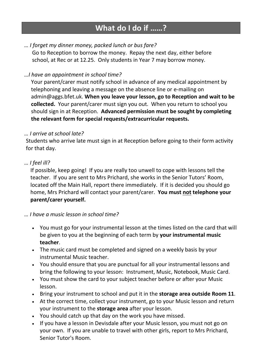### **What do I do if ……?**

### *… I forget my dinner money, packed lunch or bus fare?*

Go to Reception to borrow the money. Repay the next day, either before school, at Rec or at 12.25. Only students in Year 7 may borrow money.

### *…I have an appointment in school time?*

Your parent/carer must notify school in advance of any medical appointment by telephoning and leaving a message on the absence line or e-mailing on admin@aggs.bfet.uk. **When you leave your lesson, go to Reception and wait to be collected.** Your parent/carer must sign you out. When you return to school you should sign in at Reception. **Advanced permission must be sought by completing the relevant form for special requests/extracurricular requests.**

#### *… I arrive at school late?*

Students who arrive late must sign in at Reception before going to their form activity for that day.

### *… I feel ill?*

If possible, keep going! If you are really too unwell to cope with lessons tell the teacher. If you are sent to Mrs Prichard, she works in the Senior Tutors' Room, located off the Main Hall, report there immediately. If it is decided you should go home, Mrs Prichard will contact your parent/carer. **You must not telephone your parent/carer yourself.**

### *… I have a music lesson in school time?*

- You must go for your instrumental lesson at the times listed on the card that will be given to you at the beginning of each term by **your instrumental music teacher**.
- The music card must be completed and signed on a weekly basis by your instrumental Music teacher.
- You should ensure that you are punctual for all your instrumental lessons and bring the following to your lesson: Instrument, Music, Notebook, Music Card.
- You must show the card to your subject teacher before or after your Music lesson.
- Bring your instrument to school and put it in the **storage area outside Room 11**.
- At the correct time, collect your instrument, go to your Music lesson and return your instrument to the **storage area** after your lesson.
- You should catch up that day on the work you have missed.
- If you have a lesson in Devisdale after your Music lesson, you must not go on your own. If you are unable to travel with other girls, report to Mrs Prichard, Senior Tutor's Room.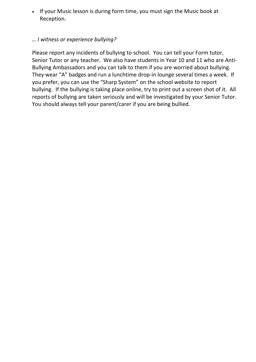• If your Music lesson is during form time, you must sign the Music book at Reception.

### *… I witness or experience bullying?*

Please report any incidents of bullying to school. You can tell your Form tutor, Senior Tutor or any teacher. We also have students in Year 10 and 11 who are Anti-Bullying Ambassadors and you can talk to them if you are worried about bullying. They wear "A" badges and run a lunchtime drop-in lounge several times a week. If you prefer, you can use the "Sharp System" on the school website to report bullying. If the bullying is taking place online, try to print out a screen shot of it. All reports of bullying are taken seriously and will be investigated by your Senior Tutor. You should always tell your parent/carer if you are being bullied.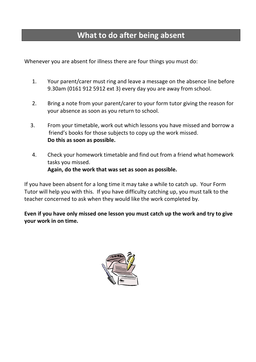### **What to do after being absent**

Whenever you are absent for illness there are four things you must do:

- 1. Your parent/carer must ring and leave a message on the absence line before 9.30am (0161 912 5912 ext 3) every day you are away from school.
- 2. Bring a note from your parent/carer to your form tutor giving the reason for your absence as soon as you return to school.
- 3. From your timetable, work out which lessons you have missed and borrow a friend's books for those subjects to copy up the work missed. **Do this as soon as possible.**
- 4. Check your homework timetable and find out from a friend what homework tasks you missed. **Again, do the work that was set as soon as possible.**

If you have been absent for a long time it may take a while to catch up. Your Form Tutor will help you with this. If you have difficulty catching up, you must talk to the teacher concerned to ask when they would like the work completed by.

**Even if you have only missed one lesson you must catch up the work and try to give your work in on time.**

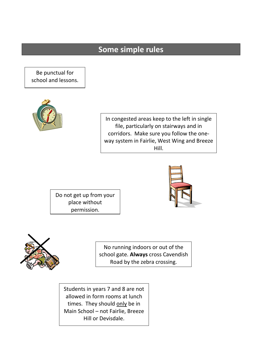### **Some simple rules**

Be punctual for school and lessons.



In congested areas keep to the left in single file, particularly on stairways and in corridors. Make sure you follow the oneway system in Fairlie, West Wing and Breeze Hill.

Do not get up from your place without permission.





No running indoors or out of the school gate. **Always** cross Cavendish Road by the zebra crossing.

Students in years 7 and 8 are not allowed in form rooms at lunch times. They should only be in Main School – not Fairlie, Breeze Hill or Devisdale.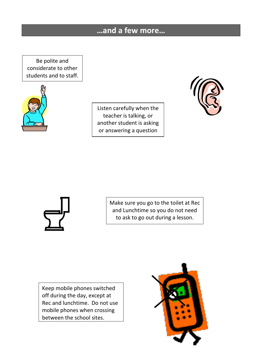### **…and a few more…**

Be polite and considerate to other students and to staff.



Listen carefully when the teacher is talking, or another student is asking or answering a question





Make sure you go to the toilet at Rec and Lunchtime so you do not need to ask to go out during a lesson.

Keep mobile phones switched off during the day, except at Rec and lunchtime. Do not use mobile phones when crossing between the school sites.

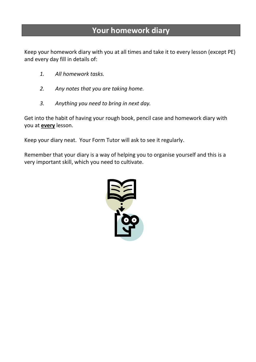### **Your homework diary**

Keep your homework diary with you at all times and take it to every lesson (except PE) and every day fill in details of:

- *1. All homework tasks.*
- *2. Any notes that you are taking home.*
- *3. Anything you need to bring in next day.*

Get into the habit of having your rough book, pencil case and homework diary with you at **every** lesson.

Keep your diary neat. Your Form Tutor will ask to see it regularly.

Remember that your diary is a way of helping you to organise yourself and this is a very important skill, which you need to cultivate.